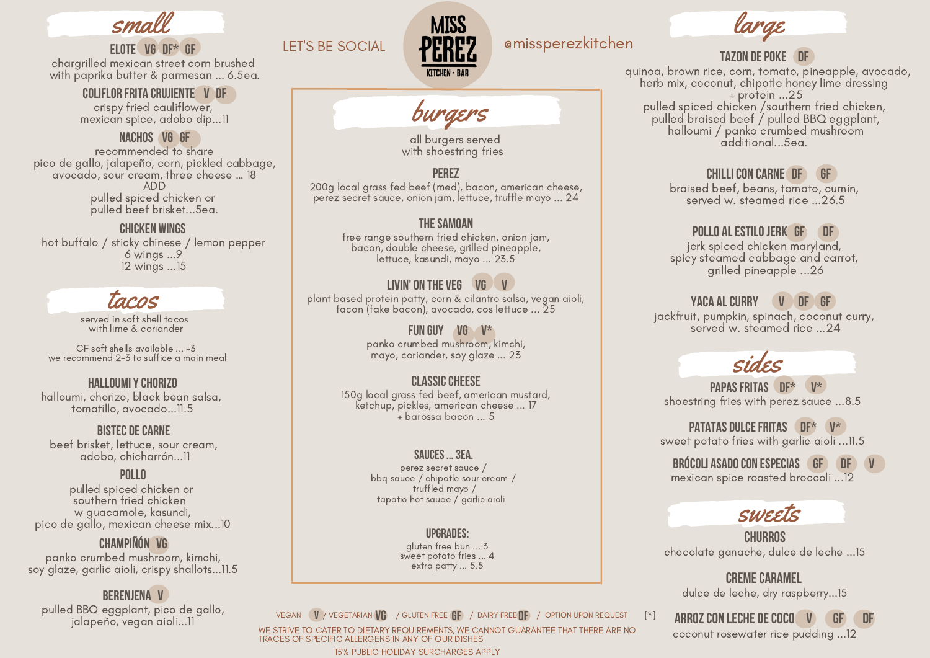

### elote vg df\* gf

chargrilled mexican street corn brushed with paprika butter & parmesan ... 6.5ea.

### Coliflor frita crujiente v df

crispy fried cauliflower, mexican spice, adobo dip...11

### nachos Vg GF

recommended to share pico de gallo, jalapeño, corn, pickled cabbage, avocado, sour cream, three cheese … 18 ADD pulled spiced chicken or pulled beef brisket...5ea.

### chicken wings

hot buffalo / sticky chinese / lemon pepper 6 wings ...9 12 wings ...15

# tacos

served in soft shell tacos with lime & coriander

GF soft shells available ... +3 we recommend 2-3 to suffice a main meal

### HALLOUMI Y CHORIZO

halloumi, chorizo, black bean salsa, tomatillo, avocado...11.5

### **BISTEC DE CARNE**

beef brisket, lettuce, sour cream, adobo, chicharrón...11

### **POLLO**

pulled spiced chicken or southern fried chicken w guacamole, kasundi, pico de gallo, mexican cheese mix...10

### Champiñón VG

panko crumbed mushroom, kimchi, soy glaze, garlic aioli, crispy shallots...11.5

### Berenjena V

pulled BBQ eggplant, pico de gallo, jalapeño, vegan aioli...11

### LET'S BE SOCIAL  $\Box$  DPDPP emissperezkitchen



# burgers

all burgers served with shoestring fries

### PER<sub>E</sub>

200g local grass fed beef (med), bacon, american cheese, perez secret sauce, onion jam, lettuce, truffle mayo ... 24

### **THE SAMOAN**

free range southern fried chicken, onion jam, bacon, double cheese, grilled pineapple, lettuce, kasundi, mayo ... 23.5

### LIVIN' ON THE VEG VG V

plant based protein patty, corn & cilantro salsa, vegan aioli, facon (fake bacon), avocado, cos lettuce ... 25

### FUN GUY VG V\*

panko crumbed mushroom, kimchi, mayo, coriander, soy glaze ... 23

### classiccheese

150g local grass fed beef, american mustard, ketchup, pickles, american cheese ... 17 + barossa bacon ... 5

### Sauces...3ea.

perez secret sauce / bbq sauce / chipotle sour cream / truffled mayo / tapatio hot sauce / garlic aioli

### Upgrades:

gluten free bun ... 3 sweet potato fries ... 4 extra patty ... 5.5

VEGAN ( $\blacksquare$ ) vegetarian $\lozenge$  / Gluten free  $\mathfrak{g}$  / Dairy free  $\mathfrak{g}$ f) / Option upon request (\*)

WE STRIVE TO CATER TO DIETARY REQUIREMENTS, WE CANNOT GUARANTEE THAT THERE ARE NO TRACES OF SPECIFIC ALLERGENS IN ANY OF OUR DISHES

15% PUBLIC HOLIDAY SURCHARGES APPLY

# large

### TAZON DE POKE

quinoa, brown rice, corn, tomato, pineapple, avocado, herb mix, coconut, chipotle honey lime dressing + protein ...25 pulled spiced chicken /southern fried chicken, pulled braised beef / pulled BBQ eggplant, halloumi / panko crumbed mushroom additional...5ea.

### ChilliCon Carne DF GF

braised beef, beans, tomato, cumin, served w. steamed rice ...26.5

### POLLO AL ESTILO JERK GF DF

jerk spiced chicken maryland, spicy steamed cabbage and carrot, grilled pineapple ...26

### YACA AL CURRY V OF GF

jackfruit, pumpkin, spinach, coconut curry, served w. steamed rice ...24

# sides

PAPAS FRITAS DF\* shoestring fries with perez sauce ...8.5

**PATATAS DULCE FRITAS OF\* V\*** sweet potato fries with garlic aioli ...11.5

### BRÓCOLI ASADO CON ESPECIAS GF DF mexican spice roasted broccoli ...12

## sweets

**CHURROS** chocolate ganache, dulce de leche ...15

**CREME CARAMEL** dulce de leche, dry raspberry...15